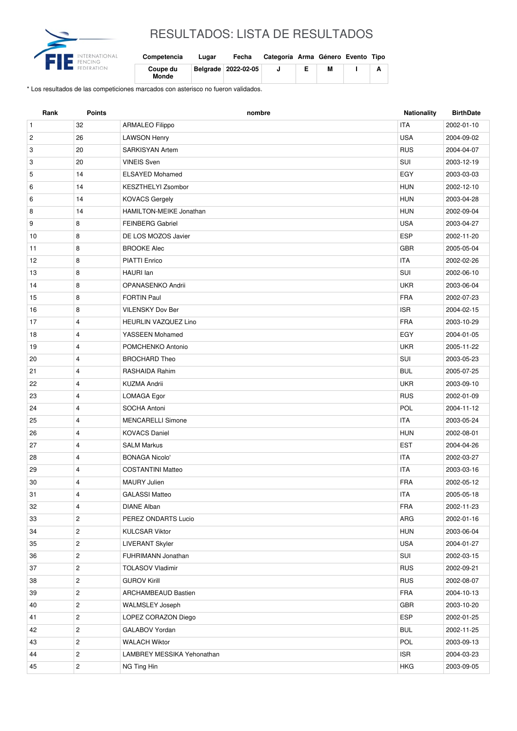

## RESULTADOS: LISTA DE RESULTADOS

| Competencia              | Lugar | Fecha                 | Categoría Arma Género Evento Tipo |   |  |
|--------------------------|-------|-----------------------|-----------------------------------|---|--|
| Coupe du<br><b>Monde</b> |       | Belgrade   2022-02-05 |                                   | м |  |

\* Los resultados de las competiciones marcados con asterisco no fueron validados.

| 32<br><b>ITA</b><br>$\mathbf{1}$<br><b>ARMALEO Filippo</b><br>2002-01-10<br>$\overline{c}$<br>26<br><b>USA</b><br><b>LAWSON Henry</b><br>2004-09-02<br><b>RUS</b><br>3<br>20<br><b>SARKISYAN Artem</b><br>2004-04-07<br>SUI<br>20<br>3<br><b>VINEIS Sven</b><br>2003-12-19<br>14<br><b>ELSAYED Mohamed</b><br>EGY<br>5<br>2003-03-03<br>KESZTHELYI Zsombor<br><b>HUN</b><br>6<br>14<br>2002-12-10<br>14<br><b>HUN</b><br>6<br><b>KOVACS Gergely</b><br>2003-04-28<br>HAMILTON-MEIKE Jonathan<br><b>HUN</b><br>8<br>14<br>2002-09-04<br>9<br>8<br><b>FEINBERG Gabriel</b><br><b>USA</b><br>2003-04-27<br><b>ESP</b><br>8<br>10<br>DE LOS MOZOS Javier<br>2002-11-20<br><b>GBR</b><br>11<br>8<br><b>BROOKE Alec</b><br>2005-05-04<br><b>ITA</b><br>12<br>8<br><b>PIATTI Enrico</b><br>2002-02-26<br>8<br>SUI<br>13<br>HAURI Ian<br>2002-06-10<br><b>UKR</b><br>8<br>14<br>OPANASENKO Andrii<br>2003-06-04<br>8<br><b>FRA</b><br>15<br><b>FORTIN Paul</b><br>2002-07-23<br>8<br><b>VILENSKY Dov Ber</b><br><b>ISR</b><br>16<br>2004-02-15<br><b>FRA</b><br>17<br>$\overline{4}$<br><b>HEURLIN VAZQUEZ Lino</b><br>2003-10-29<br>18<br>$\overline{4}$<br>YASSEEN Mohamed<br>EGY<br>2004-01-05<br><b>UKR</b><br>19<br>4<br>POMCHENKO Antonio<br>2005-11-22 |
|-------------------------------------------------------------------------------------------------------------------------------------------------------------------------------------------------------------------------------------------------------------------------------------------------------------------------------------------------------------------------------------------------------------------------------------------------------------------------------------------------------------------------------------------------------------------------------------------------------------------------------------------------------------------------------------------------------------------------------------------------------------------------------------------------------------------------------------------------------------------------------------------------------------------------------------------------------------------------------------------------------------------------------------------------------------------------------------------------------------------------------------------------------------------------------------------------------------------------------------------------------|
|                                                                                                                                                                                                                                                                                                                                                                                                                                                                                                                                                                                                                                                                                                                                                                                                                                                                                                                                                                                                                                                                                                                                                                                                                                                       |
|                                                                                                                                                                                                                                                                                                                                                                                                                                                                                                                                                                                                                                                                                                                                                                                                                                                                                                                                                                                                                                                                                                                                                                                                                                                       |
|                                                                                                                                                                                                                                                                                                                                                                                                                                                                                                                                                                                                                                                                                                                                                                                                                                                                                                                                                                                                                                                                                                                                                                                                                                                       |
|                                                                                                                                                                                                                                                                                                                                                                                                                                                                                                                                                                                                                                                                                                                                                                                                                                                                                                                                                                                                                                                                                                                                                                                                                                                       |
|                                                                                                                                                                                                                                                                                                                                                                                                                                                                                                                                                                                                                                                                                                                                                                                                                                                                                                                                                                                                                                                                                                                                                                                                                                                       |
|                                                                                                                                                                                                                                                                                                                                                                                                                                                                                                                                                                                                                                                                                                                                                                                                                                                                                                                                                                                                                                                                                                                                                                                                                                                       |
|                                                                                                                                                                                                                                                                                                                                                                                                                                                                                                                                                                                                                                                                                                                                                                                                                                                                                                                                                                                                                                                                                                                                                                                                                                                       |
|                                                                                                                                                                                                                                                                                                                                                                                                                                                                                                                                                                                                                                                                                                                                                                                                                                                                                                                                                                                                                                                                                                                                                                                                                                                       |
|                                                                                                                                                                                                                                                                                                                                                                                                                                                                                                                                                                                                                                                                                                                                                                                                                                                                                                                                                                                                                                                                                                                                                                                                                                                       |
|                                                                                                                                                                                                                                                                                                                                                                                                                                                                                                                                                                                                                                                                                                                                                                                                                                                                                                                                                                                                                                                                                                                                                                                                                                                       |
|                                                                                                                                                                                                                                                                                                                                                                                                                                                                                                                                                                                                                                                                                                                                                                                                                                                                                                                                                                                                                                                                                                                                                                                                                                                       |
|                                                                                                                                                                                                                                                                                                                                                                                                                                                                                                                                                                                                                                                                                                                                                                                                                                                                                                                                                                                                                                                                                                                                                                                                                                                       |
|                                                                                                                                                                                                                                                                                                                                                                                                                                                                                                                                                                                                                                                                                                                                                                                                                                                                                                                                                                                                                                                                                                                                                                                                                                                       |
|                                                                                                                                                                                                                                                                                                                                                                                                                                                                                                                                                                                                                                                                                                                                                                                                                                                                                                                                                                                                                                                                                                                                                                                                                                                       |
|                                                                                                                                                                                                                                                                                                                                                                                                                                                                                                                                                                                                                                                                                                                                                                                                                                                                                                                                                                                                                                                                                                                                                                                                                                                       |
|                                                                                                                                                                                                                                                                                                                                                                                                                                                                                                                                                                                                                                                                                                                                                                                                                                                                                                                                                                                                                                                                                                                                                                                                                                                       |
|                                                                                                                                                                                                                                                                                                                                                                                                                                                                                                                                                                                                                                                                                                                                                                                                                                                                                                                                                                                                                                                                                                                                                                                                                                                       |
|                                                                                                                                                                                                                                                                                                                                                                                                                                                                                                                                                                                                                                                                                                                                                                                                                                                                                                                                                                                                                                                                                                                                                                                                                                                       |
|                                                                                                                                                                                                                                                                                                                                                                                                                                                                                                                                                                                                                                                                                                                                                                                                                                                                                                                                                                                                                                                                                                                                                                                                                                                       |
| $\overline{4}$<br><b>BROCHARD Theo</b><br>SUI<br>20<br>2003-05-23                                                                                                                                                                                                                                                                                                                                                                                                                                                                                                                                                                                                                                                                                                                                                                                                                                                                                                                                                                                                                                                                                                                                                                                     |
| $\overline{4}$<br><b>BUL</b><br>21<br>RASHAIDA Rahim<br>2005-07-25                                                                                                                                                                                                                                                                                                                                                                                                                                                                                                                                                                                                                                                                                                                                                                                                                                                                                                                                                                                                                                                                                                                                                                                    |
| <b>UKR</b><br>22<br>4<br><b>KUZMA Andrii</b><br>2003-09-10                                                                                                                                                                                                                                                                                                                                                                                                                                                                                                                                                                                                                                                                                                                                                                                                                                                                                                                                                                                                                                                                                                                                                                                            |
| 23<br>$\overline{4}$<br><b>RUS</b><br>LOMAGA Egor<br>2002-01-09                                                                                                                                                                                                                                                                                                                                                                                                                                                                                                                                                                                                                                                                                                                                                                                                                                                                                                                                                                                                                                                                                                                                                                                       |
| $\overline{4}$<br>POL<br>24<br>SOCHA Antoni<br>2004-11-12                                                                                                                                                                                                                                                                                                                                                                                                                                                                                                                                                                                                                                                                                                                                                                                                                                                                                                                                                                                                                                                                                                                                                                                             |
| <b>ITA</b><br>$\overline{4}$<br>25<br><b>MENCARELLI Simone</b><br>2003-05-24                                                                                                                                                                                                                                                                                                                                                                                                                                                                                                                                                                                                                                                                                                                                                                                                                                                                                                                                                                                                                                                                                                                                                                          |
| $\overline{4}$<br><b>HUN</b><br>26<br><b>KOVACS Daniel</b><br>2002-08-01                                                                                                                                                                                                                                                                                                                                                                                                                                                                                                                                                                                                                                                                                                                                                                                                                                                                                                                                                                                                                                                                                                                                                                              |
| 27<br><b>SALM Markus</b><br><b>EST</b><br>4<br>2004-04-26                                                                                                                                                                                                                                                                                                                                                                                                                                                                                                                                                                                                                                                                                                                                                                                                                                                                                                                                                                                                                                                                                                                                                                                             |
| $\overline{4}$<br><b>ITA</b><br>28<br><b>BONAGA Nicolo'</b><br>2002-03-27                                                                                                                                                                                                                                                                                                                                                                                                                                                                                                                                                                                                                                                                                                                                                                                                                                                                                                                                                                                                                                                                                                                                                                             |
| 29<br>$\overline{4}$<br><b>ITA</b><br><b>COSTANTINI Matteo</b><br>2003-03-16                                                                                                                                                                                                                                                                                                                                                                                                                                                                                                                                                                                                                                                                                                                                                                                                                                                                                                                                                                                                                                                                                                                                                                          |
| <b>FRA</b><br>30<br>4<br><b>MAURY Julien</b><br>2002-05-12                                                                                                                                                                                                                                                                                                                                                                                                                                                                                                                                                                                                                                                                                                                                                                                                                                                                                                                                                                                                                                                                                                                                                                                            |
| 31<br>4<br><b>ITA</b><br>2005-05-18<br><b>GALASSI Matteo</b>                                                                                                                                                                                                                                                                                                                                                                                                                                                                                                                                                                                                                                                                                                                                                                                                                                                                                                                                                                                                                                                                                                                                                                                          |
| <b>FRA</b><br>4<br>DIANE Alban<br>2002-11-23<br>32                                                                                                                                                                                                                                                                                                                                                                                                                                                                                                                                                                                                                                                                                                                                                                                                                                                                                                                                                                                                                                                                                                                                                                                                    |
| $\overline{c}$<br>PEREZ ONDARTS Lucio<br>ARG<br>33<br>2002-01-16                                                                                                                                                                                                                                                                                                                                                                                                                                                                                                                                                                                                                                                                                                                                                                                                                                                                                                                                                                                                                                                                                                                                                                                      |
| $\overline{c}$<br>34<br><b>KULCSAR Viktor</b><br><b>HUN</b><br>2003-06-04                                                                                                                                                                                                                                                                                                                                                                                                                                                                                                                                                                                                                                                                                                                                                                                                                                                                                                                                                                                                                                                                                                                                                                             |
| $\overline{c}$<br>LIVERANT Skyler<br><b>USA</b><br>35<br>2004-01-27                                                                                                                                                                                                                                                                                                                                                                                                                                                                                                                                                                                                                                                                                                                                                                                                                                                                                                                                                                                                                                                                                                                                                                                   |
| $\overline{c}$<br>FUHRIMANN Jonathan<br>SUI<br>36<br>2002-03-15                                                                                                                                                                                                                                                                                                                                                                                                                                                                                                                                                                                                                                                                                                                                                                                                                                                                                                                                                                                                                                                                                                                                                                                       |
| $\overline{\mathbf{c}}$<br><b>RUS</b><br>37<br><b>TOLASOV Vladimir</b><br>2002-09-21                                                                                                                                                                                                                                                                                                                                                                                                                                                                                                                                                                                                                                                                                                                                                                                                                                                                                                                                                                                                                                                                                                                                                                  |
| 2<br><b>GUROV Kirill</b><br><b>RUS</b><br>38<br>2002-08-07                                                                                                                                                                                                                                                                                                                                                                                                                                                                                                                                                                                                                                                                                                                                                                                                                                                                                                                                                                                                                                                                                                                                                                                            |
| FRA<br>$\overline{c}$<br>39<br><b>ARCHAMBEAUD Bastien</b><br>2004-10-13                                                                                                                                                                                                                                                                                                                                                                                                                                                                                                                                                                                                                                                                                                                                                                                                                                                                                                                                                                                                                                                                                                                                                                               |
| $\overline{c}$<br>GBR<br>40<br><b>WALMSLEY Joseph</b><br>2003-10-20                                                                                                                                                                                                                                                                                                                                                                                                                                                                                                                                                                                                                                                                                                                                                                                                                                                                                                                                                                                                                                                                                                                                                                                   |
| ESP<br>$\overline{c}$<br>LOPEZ CORAZON Diego<br>2002-01-25<br>41                                                                                                                                                                                                                                                                                                                                                                                                                                                                                                                                                                                                                                                                                                                                                                                                                                                                                                                                                                                                                                                                                                                                                                                      |
| $\overline{c}$<br><b>BUL</b><br>42<br>GALABOV Yordan<br>2002-11-25                                                                                                                                                                                                                                                                                                                                                                                                                                                                                                                                                                                                                                                                                                                                                                                                                                                                                                                                                                                                                                                                                                                                                                                    |
| $\overline{c}$<br>POL<br>43<br><b>WALACH Wiktor</b><br>2003-09-13                                                                                                                                                                                                                                                                                                                                                                                                                                                                                                                                                                                                                                                                                                                                                                                                                                                                                                                                                                                                                                                                                                                                                                                     |
| $\overline{c}$<br>LAMBREY MESSIKA Yehonathan<br><b>ISR</b><br>44<br>2004-03-23                                                                                                                                                                                                                                                                                                                                                                                                                                                                                                                                                                                                                                                                                                                                                                                                                                                                                                                                                                                                                                                                                                                                                                        |
| $\overline{c}$<br>45<br>NG Ting Hin<br><b>HKG</b><br>2003-09-05                                                                                                                                                                                                                                                                                                                                                                                                                                                                                                                                                                                                                                                                                                                                                                                                                                                                                                                                                                                                                                                                                                                                                                                       |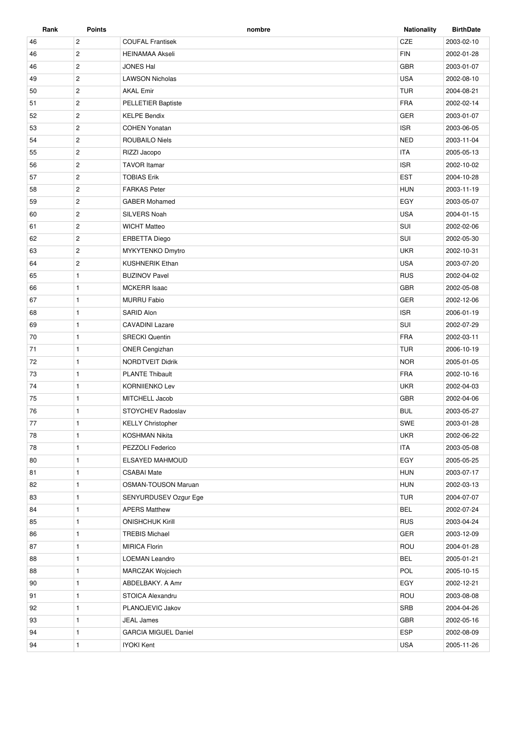| Rank | <b>Points</b>         | nombre                      | <b>Nationality</b> | <b>BirthDate</b> |
|------|-----------------------|-----------------------------|--------------------|------------------|
| 46   | $\overline{2}$        | <b>COUFAL Frantisek</b>     | CZE                | 2003-02-10       |
| 46   | $\overline{2}$        | <b>HEINAMAA Akseli</b>      | <b>FIN</b>         | 2002-01-28       |
| 46   | $\overline{c}$        | <b>JONES Hal</b>            | <b>GBR</b>         | 2003-01-07       |
| 49   | $\overline{2}$        | <b>LAWSON Nicholas</b>      | <b>USA</b>         | 2002-08-10       |
| 50   | $\overline{c}$        | <b>AKAL Emir</b>            | <b>TUR</b>         | 2004-08-21       |
| 51   | $\overline{2}$        | <b>PELLETIER Baptiste</b>   | <b>FRA</b>         | 2002-02-14       |
| 52   | $\overline{c}$        | <b>KELPE Bendix</b>         | <b>GER</b>         | 2003-01-07       |
| 53   | $\mathbf{2}^{\prime}$ | <b>COHEN Yonatan</b>        | <b>ISR</b>         | 2003-06-05       |
| 54   | $\overline{2}$        | <b>ROUBAILO Niels</b>       | <b>NED</b>         | 2003-11-04       |
| 55   | $\overline{c}$        | RIZZI Jacopo                | <b>ITA</b>         | 2005-05-13       |
| 56   | $\overline{c}$        | <b>TAVOR Itamar</b>         | <b>ISR</b>         | 2002-10-02       |
| 57   | $\overline{c}$        | <b>TOBIAS Erik</b>          | <b>EST</b>         | 2004-10-28       |
| 58   | $\overline{2}$        | <b>FARKAS Peter</b>         | <b>HUN</b>         | 2003-11-19       |
| 59   | $\overline{c}$        | <b>GABER Mohamed</b>        | EGY                | 2003-05-07       |
| 60   | $\overline{2}$        | SILVERS Noah                | <b>USA</b>         | 2004-01-15       |
| 61   | $\overline{c}$        | <b>WICHT Matteo</b>         | SUI                | 2002-02-06       |
| 62   | $\overline{2}$        | <b>ERBETTA Diego</b>        | SUI                | 2002-05-30       |
| 63   | $\overline{c}$        | MYKYTENKO Dmytro            | <b>UKR</b>         | 2002-10-31       |
| 64   | $\mathbf{2}^{\prime}$ | <b>KUSHNERIK Ethan</b>      | <b>USA</b>         | 2003-07-20       |
| 65   | $\mathbf{1}$          | <b>BUZINOV Pavel</b>        | <b>RUS</b>         | 2002-04-02       |
| 66   | $\mathbf{1}$          | <b>MCKERR Isaac</b>         | GBR                | 2002-05-08       |
| 67   | $\mathbf{1}$          | <b>MURRU Fabio</b>          | <b>GER</b>         | 2002-12-06       |
| 68   | $\mathbf{1}$          | SARID Alon                  | <b>ISR</b>         | 2006-01-19       |
| 69   | $\mathbf{1}$          | <b>CAVADINI Lazare</b>      | SUI                | 2002-07-29       |
| 70   | $\mathbf{1}$          | <b>SRECKI</b> Quentin       | <b>FRA</b>         | 2002-03-11       |
| 71   | $\mathbf{1}$          | ONER Cengizhan              | <b>TUR</b>         | 2006-10-19       |
| 72   | $\mathbf{1}$          | NORDTVEIT Didrik            | <b>NOR</b>         | 2005-01-05       |
| 73   | $\mathbf{1}$          | <b>PLANTE Thibault</b>      | <b>FRA</b>         | 2002-10-16       |
| 74   | $\mathbf{1}$          | <b>KORNIIENKO Lev</b>       | <b>UKR</b>         | 2002-04-03       |
| 75   | 1                     | MITCHELL Jacob              | <b>GBR</b>         | 2002-04-06       |
| 76   | $\mathbf{1}$          | <b>STOYCHEV Radoslav</b>    | <b>BUL</b>         | 2003-05-27       |
| 77   | $\mathbf{1}$          | <b>KELLY Christopher</b>    | SWE                | 2003-01-28       |
| 78   | $\mathbf{1}$          | <b>KOSHMAN Nikita</b>       | <b>UKR</b>         | 2002-06-22       |
| 78   | $\mathbf{1}$          | PEZZOLI Federico            | <b>ITA</b>         | 2003-05-08       |
| 80   | $\mathbf{1}$          | ELSAYED MAHMOUD             | EGY                | 2005-05-25       |
| 81   | $\mathbf{1}$          | <b>CSABAI Mate</b>          | <b>HUN</b>         | 2003-07-17       |
| 82   | $\mathbf{1}$          | <b>OSMAN-TOUSON Maruan</b>  | <b>HUN</b>         | 2002-03-13       |
| 83   | 1                     | SENYURDUSEV Ozgur Ege       | <b>TUR</b>         | 2004-07-07       |
| 84   | $\mathbf{1}$          | <b>APERS Matthew</b>        | <b>BEL</b>         | 2002-07-24       |
| 85   | $\mathbf{1}$          | <b>ONISHCHUK Kirill</b>     | <b>RUS</b>         | 2003-04-24       |
| 86   | $\mathbf{1}$          | <b>TREBIS Michael</b>       | GER                | 2003-12-09       |
| 87   | $\mathbf{1}$          | <b>MIRICA Florin</b>        | ROU                | 2004-01-28       |
| 88   | $\mathbf{1}$          | LOEMAN Leandro              | <b>BEL</b>         | 2005-01-21       |
| 88   | $\mathbf{1}$          | <b>MARCZAK Wojciech</b>     | <b>POL</b>         | 2005-10-15       |
| 90   | $\mathbf{1}$          | ABDELBAKY. A Amr            | EGY                | 2002-12-21       |
| 91   | $\mathbf{1}$          | STOICA Alexandru            | ROU                | 2003-08-08       |
| 92   | $\mathbf{1}$          | PLANOJEVIC Jakov            | SRB                | 2004-04-26       |
| 93   | $\mathbf{1}$          | <b>JEAL James</b>           | <b>GBR</b>         | 2002-05-16       |
| 94   | 1                     | <b>GARCIA MIGUEL Daniel</b> | <b>ESP</b>         | 2002-08-09       |
| 94   | 1                     | <b>IYOKI Kent</b>           | <b>USA</b>         | 2005-11-26       |
|      |                       |                             |                    |                  |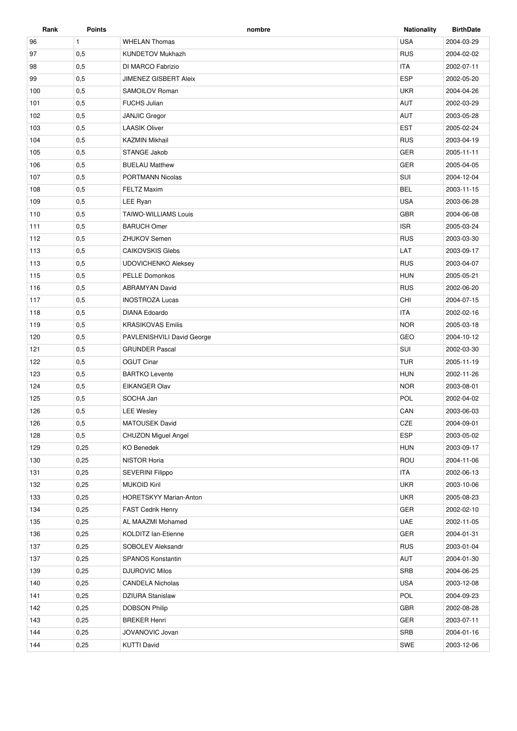| Rank | <b>Points</b> | nombre                       | <b>Nationality</b> | <b>BirthDate</b> |
|------|---------------|------------------------------|--------------------|------------------|
| 96   | $\mathbf{1}$  | <b>WHELAN Thomas</b>         | <b>USA</b>         | 2004-03-29       |
| 97   | 0,5           | <b>KUNDETOV Mukhazh</b>      | <b>RUS</b>         | 2004-02-02       |
| 98   | 0,5           | DI MARCO Fabrizio            | <b>ITA</b>         | 2002-07-11       |
| 99   | 0,5           | <b>JIMENEZ GISBERT Aleix</b> | <b>ESP</b>         | 2002-05-20       |
| 100  | 0,5           | SAMOILOV Roman               | <b>UKR</b>         | 2004-04-26       |
| 101  | 0,5           | <b>FUCHS Julian</b>          | <b>AUT</b>         | 2002-03-29       |
| 102  | 0,5           | <b>JANJIC Gregor</b>         | <b>AUT</b>         | 2003-05-28       |
| 103  | 0,5           | <b>LAASIK Oliver</b>         | <b>EST</b>         | 2005-02-24       |
| 104  | 0,5           | <b>KAZMIN Mikhail</b>        | <b>RUS</b>         | 2003-04-19       |
| 105  | 0,5           | STANGE Jakob                 | <b>GER</b>         | 2005-11-11       |
| 106  | 0,5           | <b>BUELAU Matthew</b>        | <b>GER</b>         | 2005-04-05       |
| 107  | 0,5           | <b>PORTMANN Nicolas</b>      | SUI                | 2004-12-04       |
| 108  | 0,5           | <b>FELTZ Maxim</b>           | <b>BEL</b>         | 2003-11-15       |
| 109  | 0,5           | LEE Ryan                     | <b>USA</b>         | 2003-06-28       |
| 110  | 0,5           | <b>TAIWO-WILLIAMS Louis</b>  | <b>GBR</b>         | 2004-06-08       |
| 111  | 0,5           | <b>BARUCH Omer</b>           | <b>ISR</b>         | 2005-03-24       |
| 112  | 0,5           | <b>ZHUKOV Semen</b>          | <b>RUS</b>         | 2003-03-30       |
| 113  | 0,5           | <b>CAIKOVSKIS Glebs</b>      | LAT                | 2003-09-17       |
| 113  | 0,5           | <b>UDOVICHENKO Aleksey</b>   | <b>RUS</b>         | 2003-04-07       |
| 115  | 0,5           | <b>PELLE Domonkos</b>        | <b>HUN</b>         | 2005-05-21       |
| 116  | 0,5           | <b>ABRAMYAN David</b>        | <b>RUS</b>         | 2002-06-20       |
| 117  | 0,5           | <b>INOSTROZA Lucas</b>       | CHI                | 2004-07-15       |
| 118  | 0,5           | DIANA Edoardo                | <b>ITA</b>         | 2002-02-16       |
| 119  | 0,5           | <b>KRASIKOVAS Emilis</b>     | <b>NOR</b>         | 2005-03-18       |
| 120  | 0,5           | PAVLENISHVILI David George   | GEO                | 2004-10-12       |
| 121  | 0,5           | <b>GRUNDER Pascal</b>        | SUI                | 2002-03-30       |
| 122  | 0,5           | <b>OGUT Cinar</b>            | <b>TUR</b>         | 2005-11-19       |
| 123  | 0,5           | <b>BARTKO Levente</b>        | <b>HUN</b>         | 2002-11-26       |
| 124  | 0,5           | <b>EIKANGER Olav</b>         | <b>NOR</b>         | 2003-08-01       |
| 125  | 0,5           | SOCHA Jan                    | POL                | 2002-04-02       |
| 126  | 0,5           | <b>LEE Wesley</b>            | CAN                | 2003-06-03       |
| 126  | 0,5           | <b>MATOUSEK David</b>        | CZE                | 2004-09-01       |
| 128  | 0,5           | CHUZON Miguel Angel          | <b>ESP</b>         | 2003-05-02       |
| 129  | 0,25          | <b>KO Benedek</b>            | <b>HUN</b>         | 2003-09-17       |
| 130  | 0,25          | NISTOR Horia                 | ROU                | 2004-11-06       |
| 131  | 0,25          | <b>SEVERINI Filippo</b>      | <b>ITA</b>         | 2002-06-13       |
| 132  | 0,25          | <b>MUKOID Kiril</b>          | <b>UKR</b>         | 2003-10-06       |
| 133  | 0,25          | HORETSKYY Marian-Anton       | <b>UKR</b>         | 2005-08-23       |
| 134  | 0,25          | <b>FAST Cedrik Henry</b>     | GER                | 2002-02-10       |
| 135  | 0,25          | AL MAAZMI Mohamed            | UAE                | 2002-11-05       |
| 136  | 0,25          | KOLDITZ lan-Etienne          | GER                | 2004-01-31       |
| 137  | 0,25          | SOBOLEV Aleksandr            | <b>RUS</b>         | 2003-01-04       |
| 137  | 0,25          | <b>SPANOS Konstantin</b>     | AUT                | 2004-01-30       |
| 139  | 0,25          | <b>DJUROVIC Milos</b>        | SRB                | 2004-06-25       |
| 140  | 0,25          | <b>CANDELA Nicholas</b>      | <b>USA</b>         | 2003-12-08       |
| 141  | 0,25          | <b>DZIURA Stanislaw</b>      | POL                | 2004-09-23       |
| 142  | 0,25          | <b>DOBSON Philip</b>         | GBR                | 2002-08-28       |
| 143  |               | <b>BREKER Henri</b>          | GER                |                  |
|      | 0,25          |                              |                    | 2003-07-11       |
| 144  | 0,25          | JOVANOVIC Jovan              | SRB                | 2004-01-16       |
| 144  | 0,25          | <b>KUTTI David</b>           | SWE                | 2003-12-06       |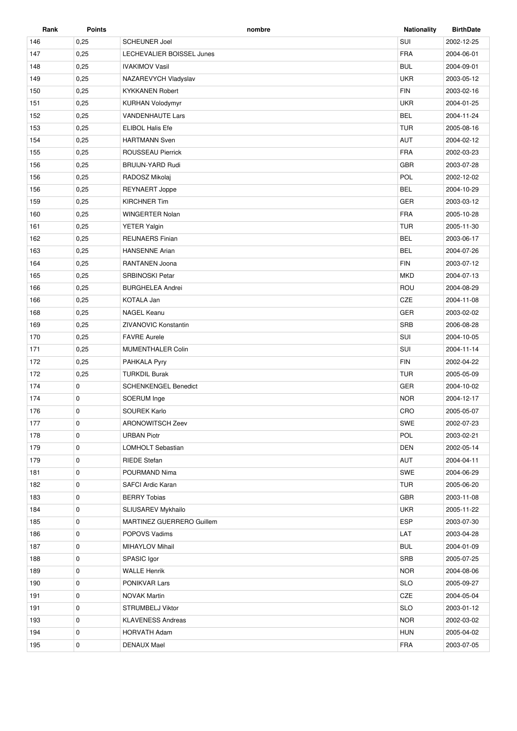| Rank | <b>Points</b> | nombre                      | <b>Nationality</b> | <b>BirthDate</b> |
|------|---------------|-----------------------------|--------------------|------------------|
| 146  | 0,25          | <b>SCHEUNER Joel</b>        | SUI                | 2002-12-25       |
| 147  | 0,25          | LECHEVALIER BOISSEL Junes   | <b>FRA</b>         | 2004-06-01       |
| 148  | 0,25          | <b>IVAKIMOV Vasil</b>       | <b>BUL</b>         | 2004-09-01       |
| 149  | 0,25          | NAZAREVYCH Vladyslav        | <b>UKR</b>         | 2003-05-12       |
| 150  | 0,25          | <b>KYKKANEN Robert</b>      | <b>FIN</b>         | 2003-02-16       |
| 151  | 0,25          | <b>KURHAN Volodymyr</b>     | <b>UKR</b>         | 2004-01-25       |
| 152  | 0,25          | <b>VANDENHAUTE Lars</b>     | <b>BEL</b>         | 2004-11-24       |
| 153  | 0,25          | <b>ELIBOL Halis Efe</b>     | <b>TUR</b>         | 2005-08-16       |
| 154  | 0,25          | <b>HARTMANN Sven</b>        | <b>AUT</b>         | 2004-02-12       |
| 155  | 0,25          | <b>ROUSSEAU Pierrick</b>    | <b>FRA</b>         | 2002-03-23       |
| 156  | 0,25          | <b>BRUIJN-YARD Rudi</b>     | <b>GBR</b>         | 2003-07-28       |
| 156  | 0,25          | RADOSZ Mikolaj              | POL                | 2002-12-02       |
| 156  | 0,25          | <b>REYNAERT Joppe</b>       | <b>BEL</b>         | 2004-10-29       |
| 159  | 0,25          | <b>KIRCHNER Tim</b>         | <b>GER</b>         | 2003-03-12       |
| 160  | 0,25          | <b>WINGERTER Nolan</b>      | <b>FRA</b>         | 2005-10-28       |
| 161  | 0,25          | <b>YETER Yalgin</b>         | <b>TUR</b>         | 2005-11-30       |
| 162  | 0,25          | <b>REIJNAERS Finian</b>     | <b>BEL</b>         | 2003-06-17       |
| 163  | 0,25          | <b>HANSENNE Arian</b>       | <b>BEL</b>         | 2004-07-26       |
| 164  | 0,25          | RANTANEN Joona              | <b>FIN</b>         | 2003-07-12       |
| 165  | 0,25          | <b>SRBINOSKI Petar</b>      | <b>MKD</b>         | 2004-07-13       |
| 166  | 0,25          | <b>BURGHELEA Andrei</b>     | ROU                | 2004-08-29       |
| 166  | 0,25          | KOTALA Jan                  | CZE                | 2004-11-08       |
| 168  | 0,25          | <b>NAGEL Keanu</b>          | <b>GER</b>         | 2003-02-02       |
| 169  | 0,25          | <b>ZIVANOVIC Konstantin</b> | <b>SRB</b>         | 2006-08-28       |
| 170  | 0,25          | <b>FAVRE Aurele</b>         | SUI                | 2004-10-05       |
| 171  | 0,25          | MUMENTHALER Colin           | SUI                | 2004-11-14       |
| 172  | 0,25          | PAHKALA Pyry                | <b>FIN</b>         | 2002-04-22       |
| 172  | 0,25          | <b>TURKDIL Burak</b>        | <b>TUR</b>         | 2005-05-09       |
| 174  | 0             | <b>SCHENKENGEL Benedict</b> | <b>GER</b>         | 2004-10-02       |
| 174  | 0             | SOERUM Inge                 | <b>NOR</b>         | 2004-12-17       |
| 176  | 0             | <b>SOUREK Karlo</b>         | CRO                | 2005-05-07       |
| 177  | 0             | ARONOWITSCH Zeev            | SWE                | 2002-07-23       |
| 178  | 0             | <b>URBAN Piotr</b>          | POL                | 2003-02-21       |
| 179  | 0             | LOMHOLT Sebastian           | <b>DEN</b>         | 2002-05-14       |
| 179  | 0             | <b>RIEDE Stefan</b>         | AUT                | 2004-04-11       |
| 181  | 0             | POURMAND Nima               | SWE                | 2004-06-29       |
| 182  | 0             | SAFCI Ardic Karan           | <b>TUR</b>         | 2005-06-20       |
| 183  | 0             | <b>BERRY Tobias</b>         | GBR                | 2003-11-08       |
| 184  | 0             | SLIUSAREV Mykhailo          | <b>UKR</b>         | 2005-11-22       |
| 185  | 0             | MARTINEZ GUERRERO Guillem   | <b>ESP</b>         | 2003-07-30       |
| 186  | 0             | POPOVS Vadims               | LAT                | 2003-04-28       |
| 187  | 0             | MIHAYLOV Mihail             | <b>BUL</b>         | 2004-01-09       |
| 188  | 0             | SPASIC Igor                 | SRB                | 2005-07-25       |
| 189  | 0             | <b>WALLE Henrik</b>         | <b>NOR</b>         | 2004-08-06       |
| 190  | 0             | PONIKVAR Lars               | <b>SLO</b>         | 2005-09-27       |
| 191  | 0             | <b>NOVAK Martin</b>         | CZE                | 2004-05-04       |
| 191  | 0             | STRUMBELJ Viktor            | <b>SLO</b>         | 2003-01-12       |
| 193  | 0             | <b>KLAVENESS Andreas</b>    | <b>NOR</b>         | 2002-03-02       |
|      |               |                             |                    |                  |
| 194  | 0             | <b>HORVATH Adam</b>         | <b>HUN</b>         | 2005-04-02       |
| 195  | 0             | <b>DENAUX Mael</b>          | FRA                | 2003-07-05       |